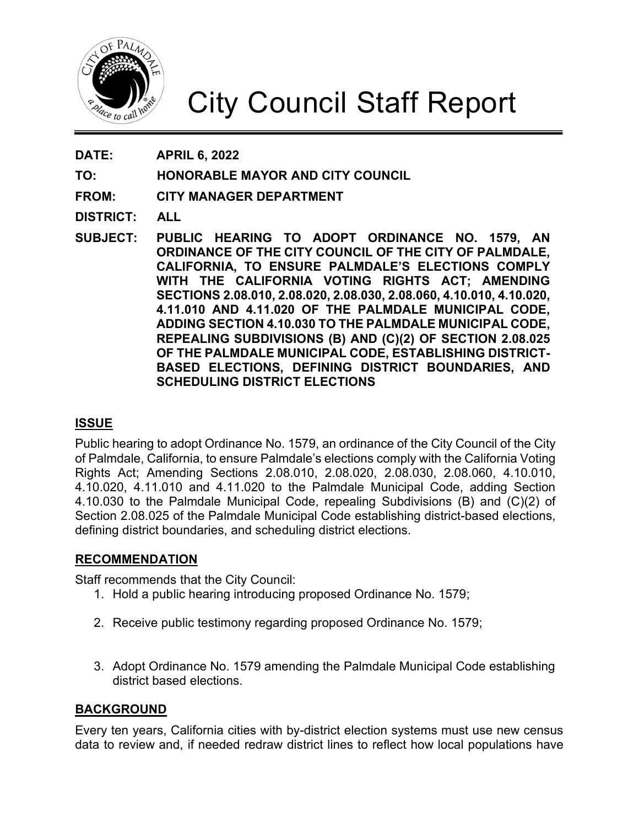

# City Council Staff Report

**DATE: APRIL 6, 2022**

**TO: HONORABLE MAYOR AND CITY COUNCIL**

**FROM: CITY MANAGER DEPARTMENT**

**DISTRICT: ALL**

**SUBJECT: PUBLIC HEARING TO ADOPT ORDINANCE NO. 1579, AN ORDINANCE OF THE CITY COUNCIL OF THE CITY OF PALMDALE, CALIFORNIA, TO ENSURE PALMDALE'S ELECTIONS COMPLY WITH THE CALIFORNIA VOTING RIGHTS ACT; AMENDING SECTIONS 2.08.010, 2.08.020, 2.08.030, 2.08.060, 4.10.010, 4.10.020, 4.11.010 AND 4.11.020 OF THE PALMDALE MUNICIPAL CODE, ADDING SECTION 4.10.030 TO THE PALMDALE MUNICIPAL CODE, REPEALING SUBDIVISIONS (B) AND (C)(2) OF SECTION 2.08.025 OF THE PALMDALE MUNICIPAL CODE, ESTABLISHING DISTRICT-BASED ELECTIONS, DEFINING DISTRICT BOUNDARIES, AND SCHEDULING DISTRICT ELECTIONS**

# **ISSUE**

Public hearing to adopt Ordinance No. 1579, an ordinance of the City Council of the City of Palmdale, California, to ensure Palmdale's elections comply with the California Voting Rights Act; Amending Sections 2.08.010, 2.08.020, 2.08.030, 2.08.060, 4.10.010, 4.10.020, 4.11.010 and 4.11.020 to the Palmdale Municipal Code, adding Section 4.10.030 to the Palmdale Municipal Code, repealing Subdivisions (B) and (C)(2) of Section 2.08.025 of the Palmdale Municipal Code establishing district-based elections, defining district boundaries, and scheduling district elections.

## **RECOMMENDATION**

Staff recommends that the City Council:

- 1. Hold a public hearing introducing proposed Ordinance No. 1579;
- 2. Receive public testimony regarding proposed Ordinance No. 1579;
- 3. Adopt Ordinance No. 1579 amending the Palmdale Municipal Code establishing district based elections.

# **BACKGROUND**

Every ten years, California cities with by-district election systems must use new census data to review and, if needed redraw district lines to reflect how local populations have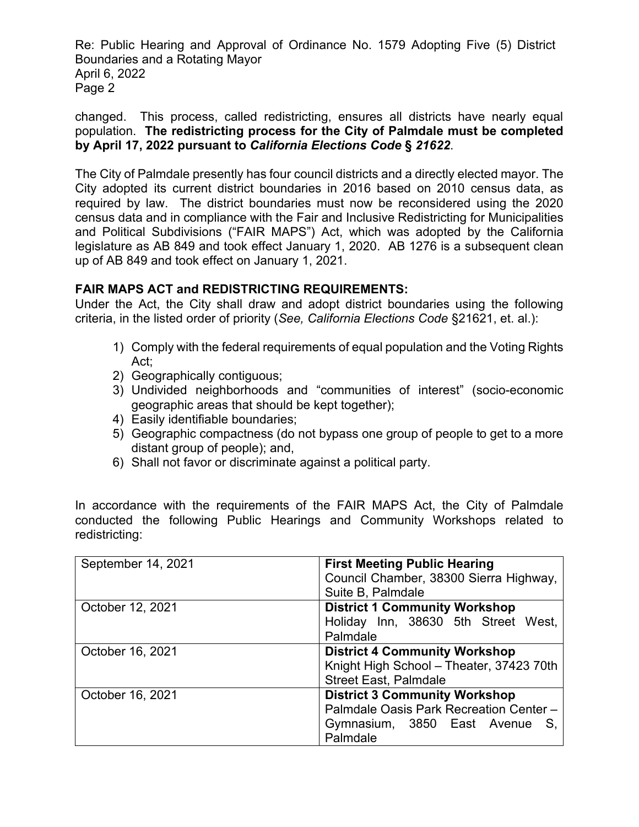Re: Public Hearing and Approval of Ordinance No. 1579 Adopting Five (5) District Boundaries and a Rotating Mayor April 6, 2022 Page 2

changed. This process, called redistricting, ensures all districts have nearly equal population. **The redistricting process for the City of Palmdale must be completed by April 17, 2022 pursuant to** *California Elections Code* **§** *21622*.

The City of Palmdale presently has four council districts and a directly elected mayor. The City adopted its current district boundaries in 2016 based on 2010 census data, as required by law. The district boundaries must now be reconsidered using the 2020 census data and in compliance with the Fair and Inclusive Redistricting for Municipalities and Political Subdivisions ("FAIR MAPS") Act, which was adopted by the California legislature as AB 849 and took effect January 1, 2020. AB 1276 is a subsequent clean up of AB 849 and took effect on January 1, 2021.

# **FAIR MAPS ACT and REDISTRICTING REQUIREMENTS:**

Under the Act, the City shall draw and adopt district boundaries using the following criteria, in the listed order of priority (*See, California Elections Code* §21621, et. al.):

- 1) Comply with the federal requirements of equal population and the Voting Rights Act;
- 2) Geographically contiguous;
- 3) Undivided neighborhoods and "communities of interest" (socio-economic geographic areas that should be kept together);
- 4) Easily identifiable boundaries;
- 5) Geographic compactness (do not bypass one group of people to get to a more distant group of people); and,
- 6) Shall not favor or discriminate against a political party.

In accordance with the requirements of the FAIR MAPS Act, the City of Palmdale conducted the following Public Hearings and Community Workshops related to redistricting:

| September 14, 2021 | <b>First Meeting Public Hearing</b><br>Council Chamber, 38300 Sierra Highway,<br>Suite B, Palmdale                               |
|--------------------|----------------------------------------------------------------------------------------------------------------------------------|
| October 12, 2021   | <b>District 1 Community Workshop</b><br>Holiday Inn, 38630 5th Street West,<br>Palmdale                                          |
| October 16, 2021   | <b>District 4 Community Workshop</b><br>Knight High School - Theater, 37423 70th<br><b>Street East, Palmdale</b>                 |
| October 16, 2021   | <b>District 3 Community Workshop</b><br>Palmdale Oasis Park Recreation Center -<br>Gymnasium, 3850 East Avenue<br>S.<br>Palmdale |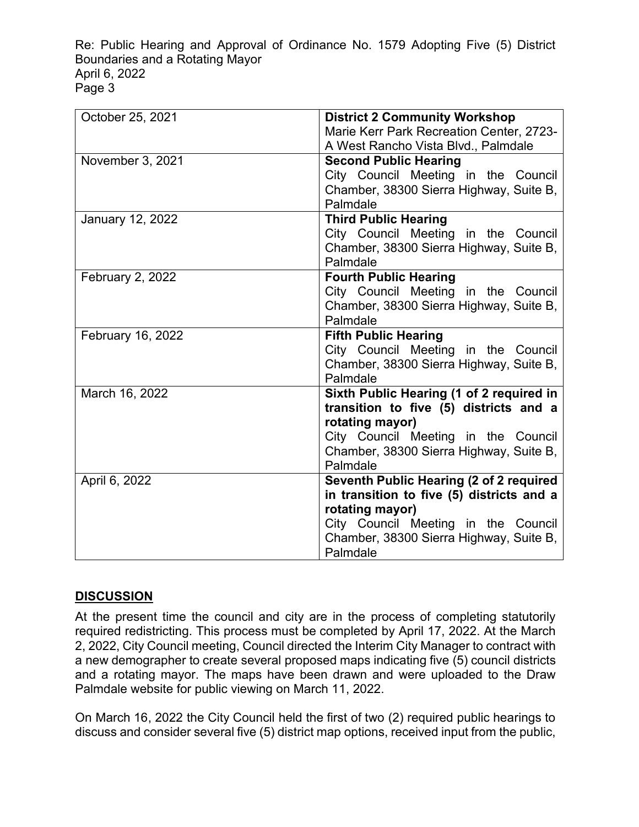Re: Public Hearing and Approval of Ordinance No. 1579 Adopting Five (5) District Boundaries and a Rotating Mayor April 6, 2022 Page 3

| October 25, 2021  | <b>District 2 Community Workshop</b>                                                 |  |
|-------------------|--------------------------------------------------------------------------------------|--|
|                   | Marie Kerr Park Recreation Center, 2723-                                             |  |
|                   | A West Rancho Vista Blvd., Palmdale                                                  |  |
| November 3, 2021  | <b>Second Public Hearing</b>                                                         |  |
|                   | City Council Meeting in the Council                                                  |  |
|                   | Chamber, 38300 Sierra Highway, Suite B,                                              |  |
|                   | Palmdale                                                                             |  |
| January 12, 2022  | <b>Third Public Hearing</b>                                                          |  |
|                   | City Council Meeting in the Council                                                  |  |
|                   | Chamber, 38300 Sierra Highway, Suite B,                                              |  |
|                   | Palmdale                                                                             |  |
| February 2, 2022  | <b>Fourth Public Hearing</b>                                                         |  |
|                   | City Council Meeting in the Council                                                  |  |
|                   | Chamber, 38300 Sierra Highway, Suite B,                                              |  |
|                   | Palmdale                                                                             |  |
| February 16, 2022 | <b>Fifth Public Hearing</b>                                                          |  |
|                   | City Council Meeting in the Council                                                  |  |
|                   | Chamber, 38300 Sierra Highway, Suite B,                                              |  |
|                   | Palmdale                                                                             |  |
| March 16, 2022    | Sixth Public Hearing (1 of 2 required in                                             |  |
|                   | transition to five (5) districts and a                                               |  |
|                   | rotating mayor)                                                                      |  |
|                   | City Council Meeting in the Council<br>Chamber, 38300 Sierra Highway, Suite B,       |  |
|                   | Palmdale                                                                             |  |
| April 6, 2022     |                                                                                      |  |
|                   | Seventh Public Hearing (2 of 2 required<br>in transition to five (5) districts and a |  |
|                   | rotating mayor)                                                                      |  |
|                   | City Council Meeting in the Council                                                  |  |
|                   | Chamber, 38300 Sierra Highway, Suite B,                                              |  |
|                   | Palmdale                                                                             |  |
|                   |                                                                                      |  |

# **DISCUSSION**

At the present time the council and city are in the process of completing statutorily required redistricting. This process must be completed by April 17, 2022. At the March 2, 2022, City Council meeting, Council directed the Interim City Manager to contract with a new demographer to create several proposed maps indicating five (5) council districts and a rotating mayor. The maps have been drawn and were uploaded to the Draw Palmdale website for public viewing on March 11, 2022.

On March 16, 2022 the City Council held the first of two (2) required public hearings to discuss and consider several five (5) district map options, received input from the public,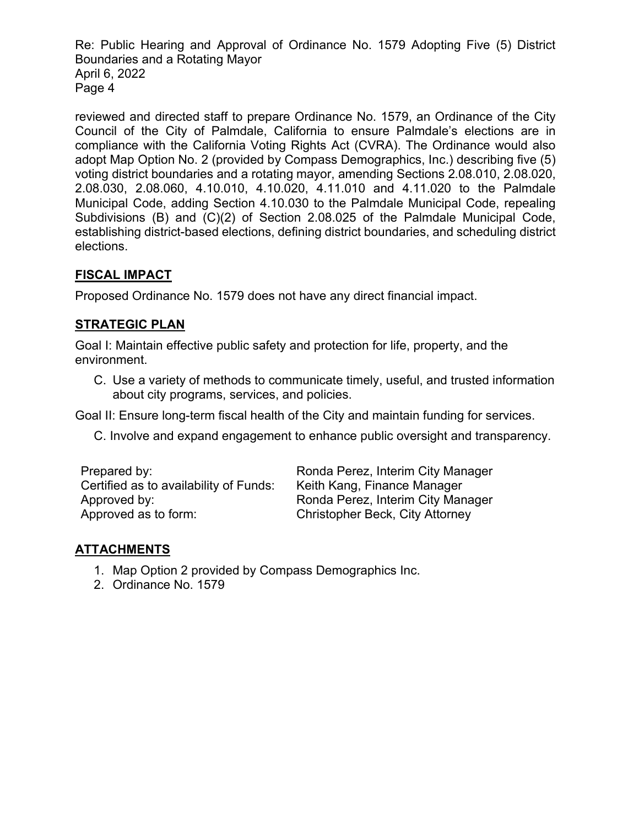Re: Public Hearing and Approval of Ordinance No. 1579 Adopting Five (5) District Boundaries and a Rotating Mayor April 6, 2022 Page 4

reviewed and directed staff to prepare Ordinance No. 1579, an Ordinance of the City Council of the City of Palmdale, California to ensure Palmdale's elections are in compliance with the California Voting Rights Act (CVRA). The Ordinance would also adopt Map Option No. 2 (provided by Compass Demographics, Inc.) describing five (5) voting district boundaries and a rotating mayor, amending Sections 2.08.010, 2.08.020, 2.08.030, 2.08.060, 4.10.010, 4.10.020, 4.11.010 and 4.11.020 to the Palmdale Municipal Code, adding Section 4.10.030 to the Palmdale Municipal Code, repealing Subdivisions (B) and (C)(2) of Section 2.08.025 of the Palmdale Municipal Code, establishing district-based elections, defining district boundaries, and scheduling district elections.

# **FISCAL IMPACT**

Proposed Ordinance No. 1579 does not have any direct financial impact.

# **STRATEGIC PLAN**

Goal I: Maintain effective public safety and protection for life, property, and the environment.

C. Use a variety of methods to communicate timely, useful, and trusted information about city programs, services, and policies.

Goal II: Ensure long-term fiscal health of the City and maintain funding for services.

C. Involve and expand engagement to enhance public oversight and transparency.

| Prepared by:                           | Ronda Pere  |
|----------------------------------------|-------------|
| Certified as to availability of Funds: | Keith Kang  |
| Approved by:                           | Ronda Pere  |
| Approved as to form:                   | Christopher |

ez, Interim City Manager , Finance Manager ez, Interim City Manager r Beck, City Attorney

# **ATTACHMENTS**

- 1. Map Option 2 provided by Compass Demographics Inc.
- 2. Ordinance No. 1579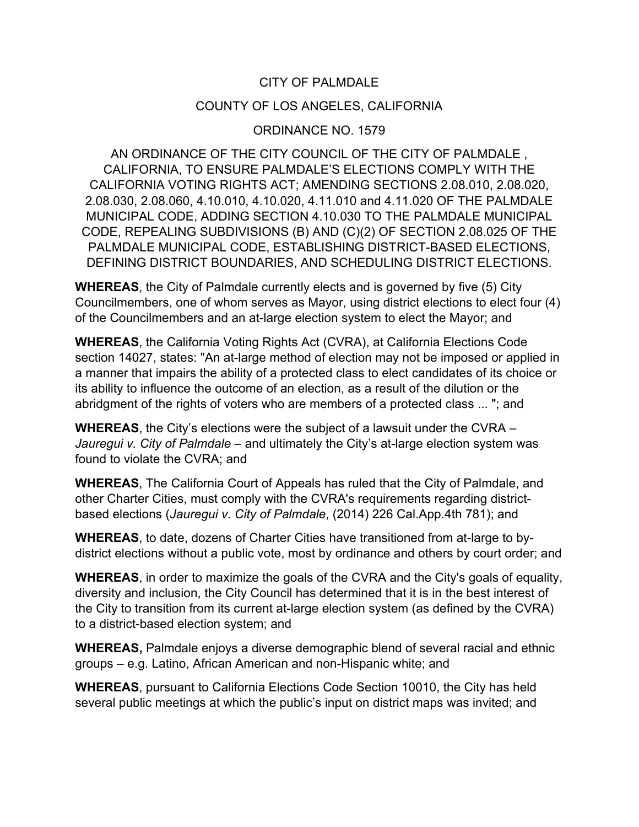## CITY OF PALMDALE

## COUNTY OF LOS ANGELES, CALIFORNIA

## ORDINANCE NO. 1579

AN ORDINANCE OF THE CITY COUNCIL OF THE CITY OF PALMDALE , CALIFORNIA, TO ENSURE PALMDALE'S ELECTIONS COMPLY WITH THE CALIFORNIA VOTING RIGHTS ACT; AMENDING SECTIONS 2.08.010, 2.08.020, 2.08.030, 2.08.060, 4.10.010, 4.10.020, 4.11.010 and 4.11.020 OF THE PALMDALE MUNICIPAL CODE, ADDING SECTION 4.10.030 TO THE PALMDALE MUNICIPAL CODE, REPEALING SUBDIVISIONS (B) AND (C)(2) OF SECTION 2.08.025 OF THE PALMDALE MUNICIPAL CODE, ESTABLISHING DISTRICT-BASED ELECTIONS, DEFINING DISTRICT BOUNDARIES, AND SCHEDULING DISTRICT ELECTIONS.

**WHEREAS**, the City of Palmdale currently elects and is governed by five (5) City Councilmembers, one of whom serves as Mayor, using district elections to elect four (4) of the Councilmembers and an at-large election system to elect the Mayor; and

**WHEREAS**, the California Voting Rights Act (CVRA), at California Elections Code section 14027, states: "An at-large method of election may not be imposed or applied in a manner that impairs the ability of a protected class to elect candidates of its choice or its ability to influence the outcome of an election, as a result of the dilution or the abridgment of the rights of voters who are members of a protected class ... "; and

**WHEREAS**, the City's elections were the subject of a lawsuit under the CVRA – *Jauregui v. City of Palmdale* – and ultimately the City's at-large election system was found to violate the CVRA; and

**WHEREAS**, The California Court of Appeals has ruled that the City of Palmdale, and other Charter Cities, must comply with the CVRA's requirements regarding districtbased elections (*Jauregui v. City of Palmdale*, (2014) 226 Cal.App.4th 781); and

**WHEREAS**, to date, dozens of Charter Cities have transitioned from at-large to bydistrict elections without a public vote, most by ordinance and others by court order; and

**WHEREAS**, in order to maximize the goals of the CVRA and the City's goals of equality, diversity and inclusion, the City Council has determined that it is in the best interest of the City to transition from its current at-large election system (as defined by the CVRA) to a district-based election system; and

**WHEREAS,** Palmdale enjoys a diverse demographic blend of several racial and ethnic groups – e.g. Latino, African American and non-Hispanic white; and

**WHEREAS**, pursuant to California Elections Code Section 10010, the City has held several public meetings at which the public's input on district maps was invited; and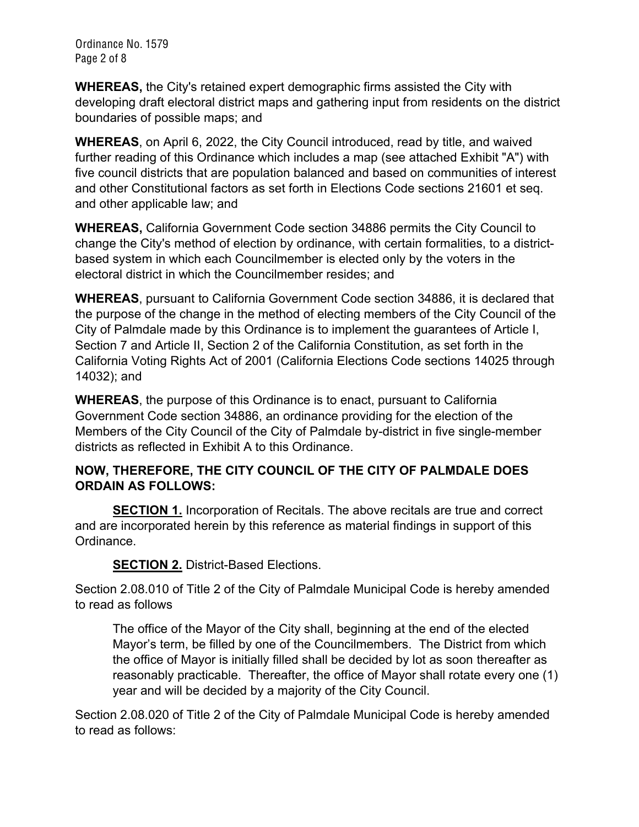Ordinance No. 1579 Page 2 of 8

**WHEREAS,** the City's retained expert demographic firms assisted the City with developing draft electoral district maps and gathering input from residents on the district boundaries of possible maps; and

**WHEREAS**, on April 6, 2022, the City Council introduced, read by title, and waived further reading of this Ordinance which includes a map (see attached Exhibit "A") with five council districts that are population balanced and based on communities of interest and other Constitutional factors as set forth in Elections Code sections 21601 et seq. and other applicable law; and

**WHEREAS,** California Government Code section 34886 permits the City Council to change the City's method of election by ordinance, with certain formalities, to a districtbased system in which each Councilmember is elected only by the voters in the electoral district in which the Councilmember resides; and

**WHEREAS**, pursuant to California Government Code section 34886, it is declared that the purpose of the change in the method of electing members of the City Council of the City of Palmdale made by this Ordinance is to implement the guarantees of Article I, Section 7 and Article II, Section 2 of the California Constitution, as set forth in the California Voting Rights Act of 2001 (California Elections Code sections 14025 through 14032); and

**WHEREAS**, the purpose of this Ordinance is to enact, pursuant to California Government Code section 34886, an ordinance providing for the election of the Members of the City Council of the City of Palmdale by-district in five single-member districts as reflected in Exhibit A to this Ordinance.

# **NOW, THEREFORE, THE CITY COUNCIL OF THE CITY OF PALMDALE DOES ORDAIN AS FOLLOWS:**

**SECTION 1.** Incorporation of Recitals. The above recitals are true and correct and are incorporated herein by this reference as material findings in support of this Ordinance.

**SECTION 2.** District-Based Elections.

Section 2.08.010 of Title 2 of the City of Palmdale Municipal Code is hereby amended to read as follows

The office of the Mayor of the City shall, beginning at the end of the elected Mayor's term, be filled by one of the Councilmembers. The District from which the office of Mayor is initially filled shall be decided by lot as soon thereafter as reasonably practicable. Thereafter, the office of Mayor shall rotate every one (1) year and will be decided by a majority of the City Council.

Section 2.08.020 of Title 2 of the City of Palmdale Municipal Code is hereby amended to read as follows: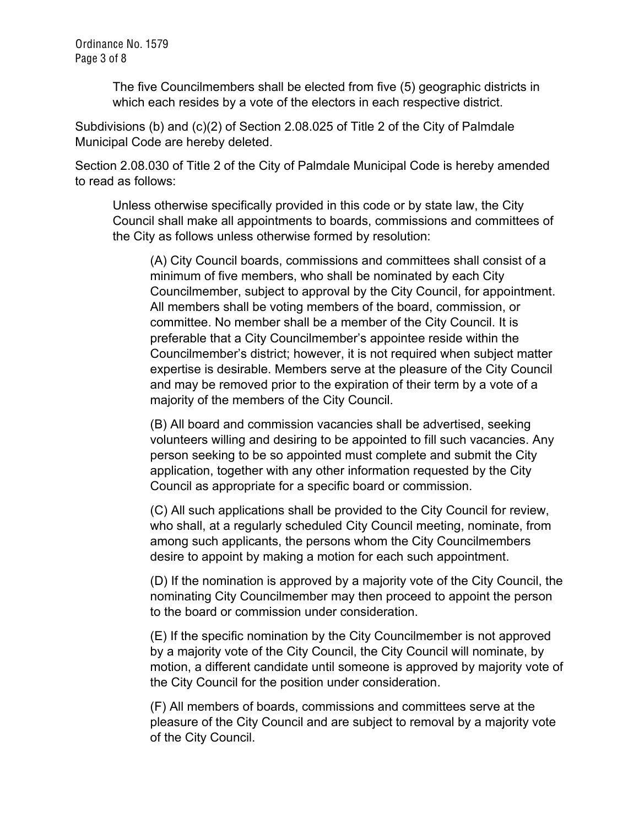Ordinance No. 1579 Page 3 of 8

> The five Councilmembers shall be elected from five (5) geographic districts in which each resides by a vote of the electors in each respective district.

Subdivisions (b) and (c)(2) of Section 2.08.025 of Title 2 of the City of Palmdale Municipal Code are hereby deleted.

Section 2.08.030 of Title 2 of the City of Palmdale Municipal Code is hereby amended to read as follows:

Unless otherwise specifically provided in this code or by state law, the City Council shall make all appointments to boards, commissions and committees of the City as follows unless otherwise formed by resolution:

(A) City Council boards, commissions and committees shall consist of a minimum of five members, who shall be nominated by each City Councilmember, subject to approval by the City Council, for appointment. All members shall be voting members of the board, commission, or committee. No member shall be a member of the City Council. It is preferable that a City Councilmember's appointee reside within the Councilmember's district; however, it is not required when subject matter expertise is desirable. Members serve at the pleasure of the City Council and may be removed prior to the expiration of their term by a vote of a majority of the members of the City Council.

(B) All board and commission vacancies shall be advertised, seeking volunteers willing and desiring to be appointed to fill such vacancies. Any person seeking to be so appointed must complete and submit the City application, together with any other information requested by the City Council as appropriate for a specific board or commission.

(C) All such applications shall be provided to the City Council for review, who shall, at a regularly scheduled City Council meeting, nominate, from among such applicants, the persons whom the City Councilmembers desire to appoint by making a motion for each such appointment.

(D) If the nomination is approved by a majority vote of the City Council, the nominating City Councilmember may then proceed to appoint the person to the board or commission under consideration.

(E) If the specific nomination by the City Councilmember is not approved by a majority vote of the City Council, the City Council will nominate, by motion, a different candidate until someone is approved by majority vote of the City Council for the position under consideration.

(F) All members of boards, commissions and committees serve at the pleasure of the City Council and are subject to removal by a majority vote of the City Council.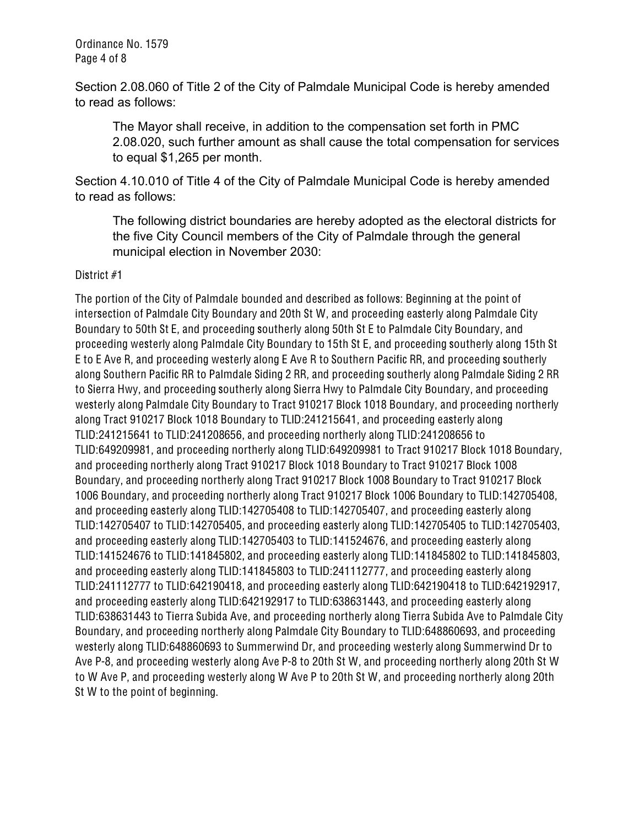Ordinance No. 1579 Page 4 of 8

Section 2.08.060 of Title 2 of the City of Palmdale Municipal Code is hereby amended to read as follows:

The Mayor shall receive, in addition to the compensation set forth in PMC 2.08.020, such further amount as shall cause the total compensation for services to equal \$1,265 per month.

Section 4.10.010 of Title 4 of the City of Palmdale Municipal Code is hereby amended to read as follows:

The following district boundaries are hereby adopted as the electoral districts for the five City Council members of the City of Palmdale through the general municipal election in November 2030:

### District #1

The portion of the City of Palmdale bounded and described as follows: Beginning at the point of intersection of Palmdale City Boundary and 20th St W, and proceeding easterly along Palmdale City Boundary to 50th St E, and proceeding southerly along 50th St E to Palmdale City Boundary, and proceeding westerly along Palmdale City Boundary to 15th St E, and proceeding southerly along 15th St E to E Ave R, and proceeding westerly along E Ave R to Southern Pacific RR, and proceeding southerly along Southern Pacific RR to Palmdale Siding 2 RR, and proceeding southerly along Palmdale Siding 2 RR to Sierra Hwy, and proceeding southerly along Sierra Hwy to Palmdale City Boundary, and proceeding westerly along Palmdale City Boundary to Tract 910217 Block 1018 Boundary, and proceeding northerly along Tract 910217 Block 1018 Boundary to TLID:241215641, and proceeding easterly along TLID:241215641 to TLID:241208656, and proceeding northerly along TLID:241208656 to TLID:649209981, and proceeding northerly along TLID:649209981 to Tract 910217 Block 1018 Boundary, and proceeding northerly along Tract 910217 Block 1018 Boundary to Tract 910217 Block 1008 Boundary, and proceeding northerly along Tract 910217 Block 1008 Boundary to Tract 910217 Block 1006 Boundary, and proceeding northerly along Tract 910217 Block 1006 Boundary to TLID:142705408, and proceeding easterly along TLID:142705408 to TLID:142705407, and proceeding easterly along TLID:142705407 to TLID:142705405, and proceeding easterly along TLID:142705405 to TLID:142705403, and proceeding easterly along TLID:142705403 to TLID:141524676, and proceeding easterly along TLID:141524676 to TLID:141845802, and proceeding easterly along TLID:141845802 to TLID:141845803, and proceeding easterly along TLID:141845803 to TLID:241112777, and proceeding easterly along TLID:241112777 to TLID:642190418, and proceeding easterly along TLID:642190418 to TLID:642192917, and proceeding easterly along TLID:642192917 to TLID:638631443, and proceeding easterly along TLID:638631443 to Tierra Subida Ave, and proceeding northerly along Tierra Subida Ave to Palmdale City Boundary, and proceeding northerly along Palmdale City Boundary to TLID:648860693, and proceeding westerly along TLID:648860693 to Summerwind Dr, and proceeding westerly along Summerwind Dr to Ave P-8, and proceeding westerly along Ave P-8 to 20th St W, and proceeding northerly along 20th St W to W Ave P, and proceeding westerly along W Ave P to 20th St W, and proceeding northerly along 20th St W to the point of beginning.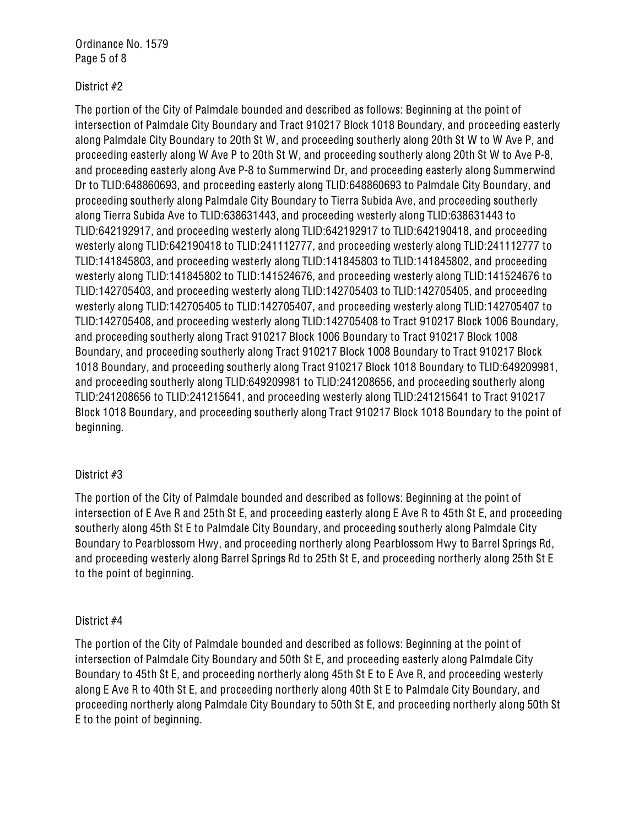Ordinance No. 1579 Page 5 of 8

### District #2

The portion of the City of Palmdale bounded and described as follows: Beginning at the point of intersection of Palmdale City Boundary and Tract 910217 Block 1018 Boundary, and proceeding easterly along Palmdale City Boundary to 20th St W, and proceeding southerly along 20th St W to W Ave P, and proceeding easterly along W Ave P to 20th St W, and proceeding southerly along 20th St W to Ave P-8, and proceeding easterly along Ave P-8 to Summerwind Dr, and proceeding easterly along Summerwind Dr to TLID:648860693, and proceeding easterly along TLID:648860693 to Palmdale City Boundary, and proceeding southerly along Palmdale City Boundary to Tierra Subida Ave, and proceeding southerly along Tierra Subida Ave to TLID:638631443, and proceeding westerly along TLID:638631443 to TLID:642192917, and proceeding westerly along TLID:642192917 to TLID:642190418, and proceeding westerly along TLID:642190418 to TLID:241112777, and proceeding westerly along TLID:241112777 to TLID:141845803, and proceeding westerly along TLID:141845803 to TLID:141845802, and proceeding westerly along TLID:141845802 to TLID:141524676, and proceeding westerly along TLID:141524676 to TLID:142705403, and proceeding westerly along TLID:142705403 to TLID:142705405, and proceeding westerly along TLID:142705405 to TLID:142705407, and proceeding westerly along TLID:142705407 to TLID:142705408, and proceeding westerly along TLID:142705408 to Tract 910217 Block 1006 Boundary, and proceeding southerly along Tract 910217 Block 1006 Boundary to Tract 910217 Block 1008 Boundary, and proceeding southerly along Tract 910217 Block 1008 Boundary to Tract 910217 Block 1018 Boundary, and proceeding southerly along Tract 910217 Block 1018 Boundary to TLID:649209981, and proceeding southerly along TLID:649209981 to TLID:241208656, and proceeding southerly along TLID:241208656 to TLID:241215641, and proceeding westerly along TLID:241215641 to Tract 910217 Block 1018 Boundary, and proceeding southerly along Tract 910217 Block 1018 Boundary to the point of beginning.

### District #3

The portion of the City of Palmdale bounded and described as follows: Beginning at the point of intersection of E Ave R and 25th St E, and proceeding easterly along E Ave R to 45th St E, and proceeding southerly along 45th St E to Palmdale City Boundary, and proceeding southerly along Palmdale City Boundary to Pearblossom Hwy, and proceeding northerly along Pearblossom Hwy to Barrel Springs Rd, and proceeding westerly along Barrel Springs Rd to 25th St E, and proceeding northerly along 25th St E to the point of beginning.

#### District #4

The portion of the City of Palmdale bounded and described as follows: Beginning at the point of intersection of Palmdale City Boundary and 50th St E, and proceeding easterly along Palmdale City Boundary to 45th St E, and proceeding northerly along 45th St E to E Ave R, and proceeding westerly along E Ave R to 40th St E, and proceeding northerly along 40th St E to Palmdale City Boundary, and proceeding northerly along Palmdale City Boundary to 50th St E, and proceeding northerly along 50th St E to the point of beginning.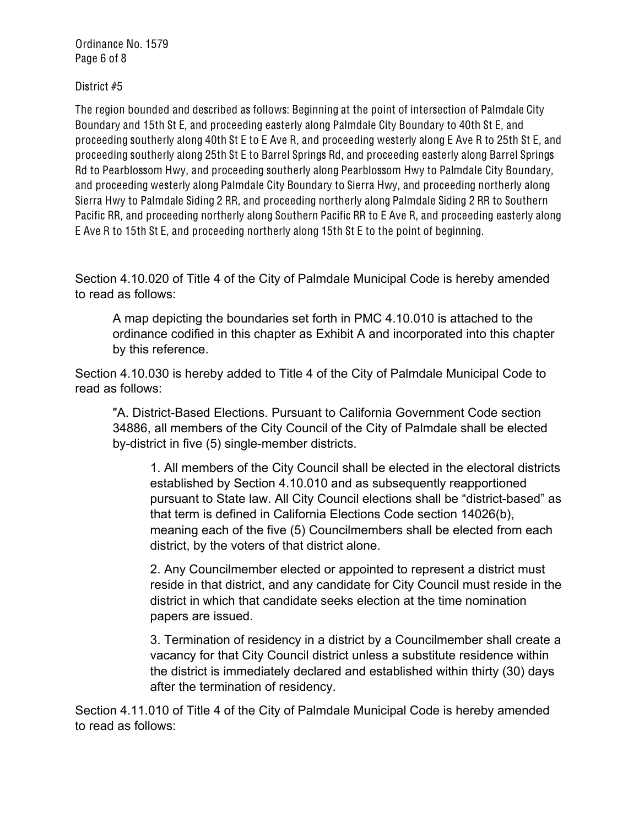Ordinance No. 1579 Page 6 of 8

District #5

The region bounded and described as follows: Beginning at the point of intersection of Palmdale City Boundary and 15th St E, and proceeding easterly along Palmdale City Boundary to 40th St E, and proceeding southerly along 40th St E to E Ave R, and proceeding westerly along E Ave R to 25th St E, and proceeding southerly along 25th St E to Barrel Springs Rd, and proceeding easterly along Barrel Springs Rd to Pearblossom Hwy, and proceeding southerly along Pearblossom Hwy to Palmdale City Boundary, and proceeding westerly along Palmdale City Boundary to Sierra Hwy, and proceeding northerly along Sierra Hwy to Palmdale Siding 2 RR, and proceeding northerly along Palmdale Siding 2 RR to Southern Pacific RR, and proceeding northerly along Southern Pacific RR to E Ave R, and proceeding easterly along E Ave R to 15th St E, and proceeding northerly along 15th St E to the point of beginning.

Section 4.10.020 of Title 4 of the City of Palmdale Municipal Code is hereby amended to read as follows:

A map depicting the boundaries set forth in PMC 4.10.010 is attached to the ordinance codified in this chapter as Exhibit A and incorporated into this chapter by this reference.

Section 4.10.030 is hereby added to Title 4 of the City of Palmdale Municipal Code to read as follows:

"A. District-Based Elections. Pursuant to California Government Code section 34886, all members of the City Council of the City of Palmdale shall be elected by-district in five (5) single-member districts.

1. All members of the City Council shall be elected in the electoral districts established by Section 4.10.010 and as subsequently reapportioned pursuant to State law. All City Council elections shall be "district-based" as that term is defined in California Elections Code section 14026(b), meaning each of the five (5) Councilmembers shall be elected from each district, by the voters of that district alone.

2. Any Councilmember elected or appointed to represent a district must reside in that district, and any candidate for City Council must reside in the district in which that candidate seeks election at the time nomination papers are issued.

3. Termination of residency in a district by a Councilmember shall create a vacancy for that City Council district unless a substitute residence within the district is immediately declared and established within thirty (30) days after the termination of residency.

Section 4.11.010 of Title 4 of the City of Palmdale Municipal Code is hereby amended to read as follows: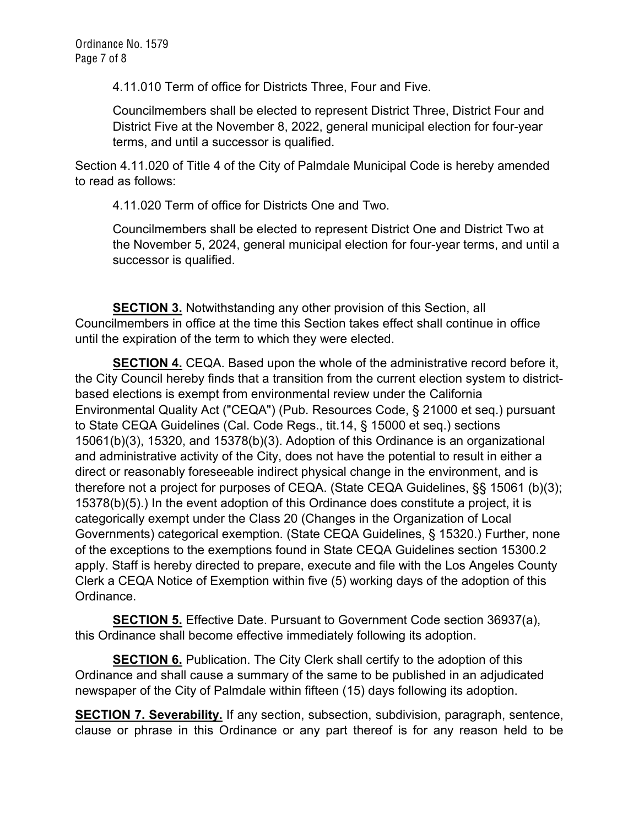4.11.010 Term of office for Districts Three, Four and Five.

Councilmembers shall be elected to represent District Three, District Four and District Five at the November 8, 2022, general municipal election for four-year terms, and until a successor is qualified.

Section 4.11.020 of Title 4 of the City of Palmdale Municipal Code is hereby amended to read as follows:

4.11.020 Term of office for Districts One and Two.

Councilmembers shall be elected to represent District One and District Two at the November 5, 2024, general municipal election for four-year terms, and until a successor is qualified.

**SECTION 3.** Notwithstanding any other provision of this Section, all Councilmembers in office at the time this Section takes effect shall continue in office until the expiration of the term to which they were elected.

**SECTION 4.** CEQA. Based upon the whole of the administrative record before it, the City Council hereby finds that a transition from the current election system to districtbased elections is exempt from environmental review under the California Environmental Quality Act ("CEQA") (Pub. Resources Code, § 21000 et seq.) pursuant to State CEQA Guidelines (Cal. Code Regs., tit.14, § 15000 et seq.) sections 15061(b)(3), 15320, and 15378(b)(3). Adoption of this Ordinance is an organizational and administrative activity of the City, does not have the potential to result in either a direct or reasonably foreseeable indirect physical change in the environment, and is therefore not a project for purposes of CEQA. (State CEQA Guidelines, §§ 15061 (b)(3); 15378(b)(5).) In the event adoption of this Ordinance does constitute a project, it is categorically exempt under the Class 20 (Changes in the Organization of Local Governments) categorical exemption. (State CEQA Guidelines, § 15320.) Further, none of the exceptions to the exemptions found in State CEQA Guidelines section 15300.2 apply. Staff is hereby directed to prepare, execute and file with the Los Angeles County Clerk a CEQA Notice of Exemption within five (5) working days of the adoption of this Ordinance.

**SECTION 5.** Effective Date. Pursuant to Government Code section 36937(a), this Ordinance shall become effective immediately following its adoption.

**SECTION 6.** Publication. The City Clerk shall certify to the adoption of this Ordinance and shall cause a summary of the same to be published in an adjudicated newspaper of the City of Palmdale within fifteen (15) days following its adoption.

**SECTION 7. Severability.** If any section, subsection, subdivision, paragraph, sentence, clause or phrase in this Ordinance or any part thereof is for any reason held to be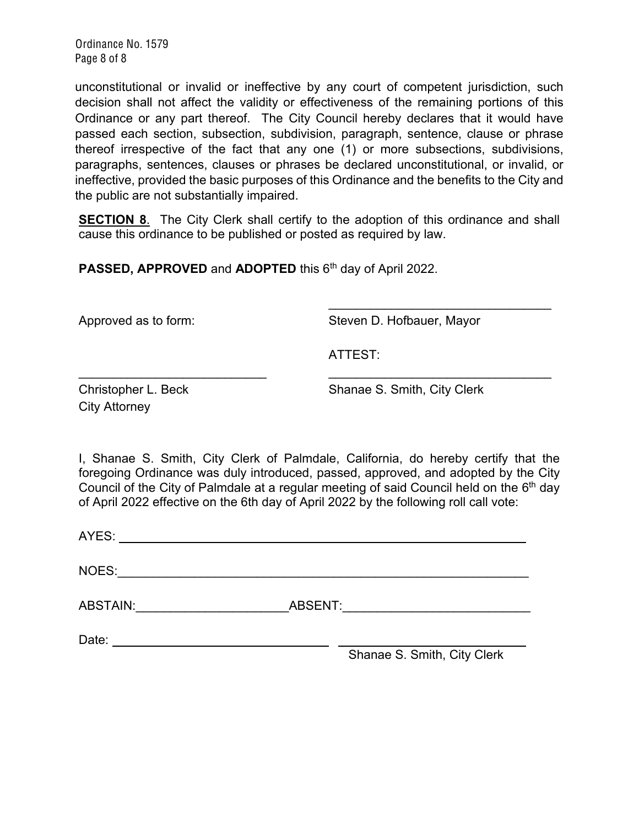Ordinance No. 1579 Page 8 of 8

unconstitutional or invalid or ineffective by any court of competent jurisdiction, such decision shall not affect the validity or effectiveness of the remaining portions of this Ordinance or any part thereof. The City Council hereby declares that it would have passed each section, subsection, subdivision, paragraph, sentence, clause or phrase thereof irrespective of the fact that any one (1) or more subsections, subdivisions, paragraphs, sentences, clauses or phrases be declared unconstitutional, or invalid, or ineffective, provided the basic purposes of this Ordinance and the benefits to the City and the public are not substantially impaired.

**SECTION 8.** The City Clerk shall certify to the adoption of this ordinance and shall cause this ordinance to be published or posted as required by law.

**PASSED, APPROVED** and **ADOPTED** this 6<sup>th</sup> day of April 2022.

Approved as to form: Steven D. Hofbauer, Mayor

 $\mathcal{L}=\{1,2,3,4,5\}$ 

ATTEST:

City Attorney

Christopher L. Beck Shanae S. Smith, City Clerk

I, Shanae S. Smith, City Clerk of Palmdale, California, do hereby certify that the foregoing Ordinance was duly introduced, passed, approved, and adopted by the City Council of the City of Palmdale at a regular meeting of said Council held on the  $6<sup>th</sup>$  day of April 2022 effective on the 6th day of April 2022 by the following roll call vote:

 $\mathcal{L}_\text{max}$  , and the contract of the contract of the contract of the contract of the contract of the contract of the contract of the contract of the contract of the contract of the contract of the contract of the contr

AYES:

NOES:\_\_\_\_\_\_\_\_\_\_\_\_\_\_\_\_\_\_\_\_\_\_\_\_\_\_\_\_\_\_\_\_\_\_\_\_\_\_\_\_\_\_\_\_\_\_\_\_\_\_\_\_\_\_\_\_\_\_\_

ABSTAIN:\_\_\_\_\_\_\_\_\_\_\_\_\_\_\_\_\_\_\_\_\_\_ABSENT:\_\_\_\_\_\_\_\_\_\_\_\_\_\_\_\_\_\_\_\_\_\_\_\_\_\_\_

Date:

Shanae S. Smith, City Clerk